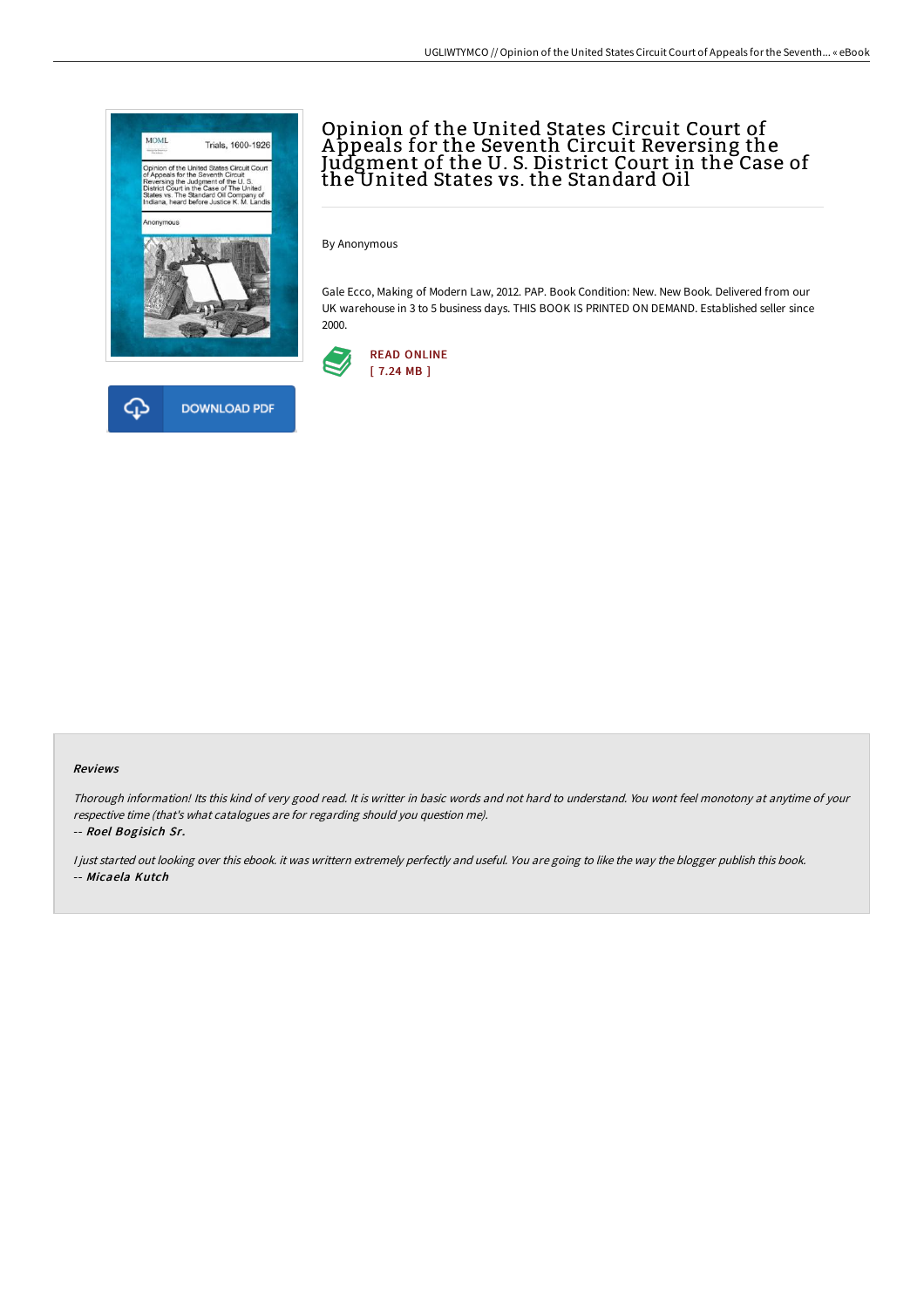

# Opinion of the United States Circuit Court of A ppeals for the Seventh Circuit Reversing the Judgment of the U. S. District Court in the Case of the United States vs. the Standard Oil

By Anonymous

Gale Ecco, Making of Modern Law, 2012. PAP. Book Condition: New. New Book. Delivered from our UK warehouse in 3 to 5 business days. THIS BOOK IS PRINTED ON DEMAND. Established seller since 2000.



#### Reviews

Thorough information! Its this kind of very good read. It is writter in basic words and not hard to understand. You wont feel monotony at anytime of your respective time (that's what catalogues are for regarding should you question me).

-- Roel Bogisich Sr.

<sup>I</sup> just started out looking over this ebook. it was writtern extremely perfectly and useful. You are going to like the way the blogger publish this book. -- Micaela Kutch